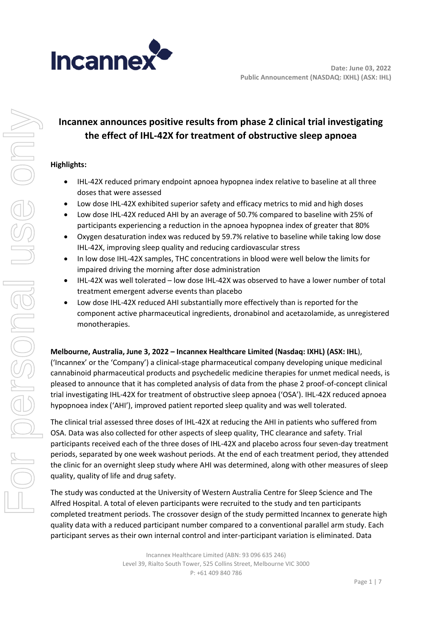

# **Incannex announces positive results from phase 2 clinical trial investigating the effect of IHL-42X for treatment of obstructive sleep apnoea**

## **Highlights:**

- IHL-42X reduced primary endpoint apnoea hypopnea index relative to baseline at all three doses that were assessed
- Low dose IHL-42X exhibited superior safety and efficacy metrics to mid and high doses
- Low dose IHL-42X reduced AHI by an average of 50.7% compared to baseline with 25% of participants experiencing a reduction in the apnoea hypopnea index of greater that 80%
- Oxygen desaturation index was reduced by 59.7% relative to baseline while taking low dose IHL-42X, improving sleep quality and reducing cardiovascular stress
- In low dose IHL-42X samples, THC concentrations in blood were well below the limits for impaired driving the morning after dose administration
- IHL-42X was well tolerated low dose IHL-42X was observed to have a lower number of total treatment emergent adverse events than placebo
- Low dose IHL-42X reduced AHI substantially more effectively than is reported for the component active pharmaceutical ingredients, dronabinol and acetazolamide, as unregistered monotherapies.

#### **Melbourne, Australia, June 3, 2022 – Incannex Healthcare Limited (Nasdaq: IXHL) (ASX: IHL**),

('Incannex' or the 'Company') a clinical-stage pharmaceutical company developing unique medicinal cannabinoid pharmaceutical products and psychedelic medicine therapies for unmet medical needs, is pleased to announce that it has completed analysis of data from the phase 2 proof-of-concept clinical trial investigating IHL-42X for treatment of obstructive sleep apnoea ('OSA'). IHL-42X reduced apnoea hypopnoea index ('AHI'), improved patient reported sleep quality and was well tolerated.

The clinical trial assessed three doses of IHL-42X at reducing the AHI in patients who suffered from OSA. Data was also collected for other aspects of sleep quality, THC clearance and safety. Trial participants received each of the three doses of IHL-42X and placebo across four seven-day treatment periods, separated by one week washout periods. At the end of each treatment period, they attended the clinic for an overnight sleep study where AHI was determined, along with other measures of sleep quality, quality of life and drug safety.

The study was conducted at the University of Western Australia Centre for Sleep Science and The Alfred Hospital. A total of eleven participants were recruited to the study and ten participants completed treatment periods. The crossover design of the study permitted Incannex to generate high quality data with a reduced participant number compared to a conventional parallel arm study. Each participant serves as their own internal control and inter-participant variation is eliminated. Data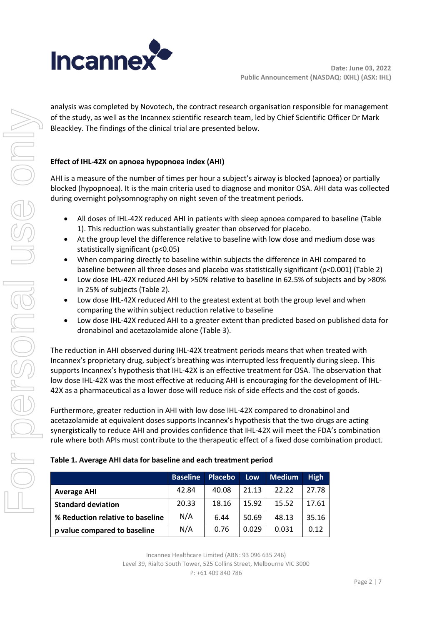

analysis was completed by Novotech, the contract research organisation responsible for management of the study, as well as the Incannex scientific research team, led by Chief Scientific Officer Dr Mark Bleackley. The findings of the clinical trial are presented below.

## **Effect of IHL-42X on apnoea hypopnoea index (AHI)**

AHI is a measure of the number of times per hour a subject's airway is blocked (apnoea) or partially blocked (hypopnoea). It is the main criteria used to diagnose and monitor OSA. AHI data was collected during overnight polysomnography on night seven of the treatment periods.

- All doses of IHL-42X reduced AHI in patients with sleep apnoea compared to baseline (Table 1). This reduction was substantially greater than observed for placebo.
- At the group level the difference relative to baseline with low dose and medium dose was statistically significant (p<0.05)
- When comparing directly to baseline within subjects the difference in AHI compared to baseline between all three doses and placebo was statistically significant (p<0.001) (Table 2)
- Low dose IHL-42X reduced AHI by >50% relative to baseline in 62.5% of subjects and by >80% in 25% of subjects (Table 2).
- Low dose IHL-42X reduced AHI to the greatest extent at both the group level and when comparing the within subject reduction relative to baseline
- Low dose IHL-42X reduced AHI to a greater extent than predicted based on published data for dronabinol and acetazolamide alone (Table 3).

The reduction in AHI observed during IHL-42X treatment periods means that when treated with Incannex's proprietary drug, subject's breathing was interrupted less frequently during sleep. This supports Incannex's hypothesis that IHL-42X is an effective treatment for OSA. The observation that low dose IHL-42X was the most effective at reducing AHI is encouraging for the development of IHL-42X as a pharmaceutical as a lower dose will reduce risk of side effects and the cost of goods.

Furthermore, greater reduction in AHI with low dose IHL-42X compared to dronabinol and acetazolamide at equivalent doses supports Incannex's hypothesis that the two drugs are acting synergistically to reduce AHI and provides confidence that IHL-42X will meet the FDA's combination rule where both APIs must contribute to the therapeutic effect of a fixed dose combination product.

|                                  | <b>Baseline</b> | Placebo | <b>Low</b> | <b>Medium</b> | <b>High</b> |
|----------------------------------|-----------------|---------|------------|---------------|-------------|
| <b>Average AHI</b>               | 42.84           | 40.08   | 21.13      | 22.22         | 27.78       |
| <b>Standard deviation</b>        | 20.33           | 18.16   | 15.92      | 15.52         | 17.61       |
| % Reduction relative to baseline | N/A             | 6.44    | 50.69      | 48.13         | 35.16       |
| p value compared to baseline     | N/A             | 0.76    | 0.029      | 0.031         | 0.12        |

Incannex Healthcare Limited (ABN: 93 096 635 246) Level 39, Rialto South Tower, 525 Collins Street, Melbourne VIC 3000 P: +61 409 840 786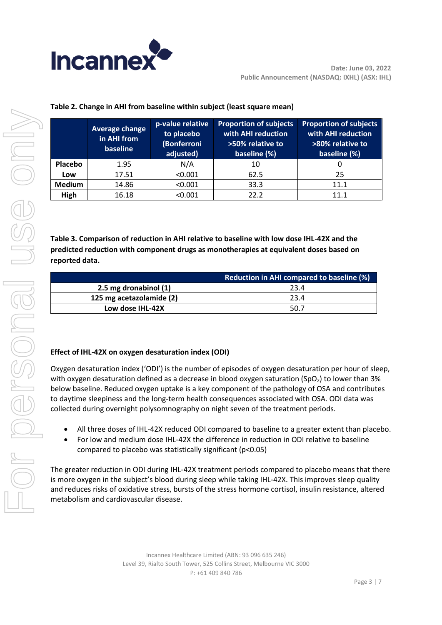

|               | <b>Average change</b><br>in AHI from<br>baseline | p-value relative<br>to placebo<br>(Bonferroni<br>adjusted) | <b>Proportion of subjects</b><br>with AHI reduction<br>>50% relative to<br>baseline (%) | <b>Proportion of subjects</b><br>with AHI reduction<br>>80% relative to<br>baseline (%) |
|---------------|--------------------------------------------------|------------------------------------------------------------|-----------------------------------------------------------------------------------------|-----------------------------------------------------------------------------------------|
| Placebo       | 1.95                                             | N/A                                                        | 10                                                                                      |                                                                                         |
| Low           | 17.51                                            | < 0.001                                                    | 62.5                                                                                    | 25                                                                                      |
| <b>Medium</b> | 14.86                                            | < 0.001                                                    | 33.3                                                                                    | 11.1                                                                                    |
| High          | 16.18                                            | < 0.001                                                    | 22.2                                                                                    | 11.1                                                                                    |

# **Table 2. Change in AHI from baseline within subject (least square mean)**

**Table 3. Comparison of reduction in AHI relative to baseline with low dose IHL-42X and the predicted reduction with component drugs as monotherapies at equivalent doses based on reported data.**

|                          | <b>Reduction in AHI compared to baseline (%)</b> |  |  |
|--------------------------|--------------------------------------------------|--|--|
| 2.5 mg dronabinol (1)    | 23.4                                             |  |  |
| 125 mg acetazolamide (2) | 23.4                                             |  |  |
| Low dose IHL-42X         | 50.7                                             |  |  |

# **Effect of IHL-42X on oxygen desaturation index (ODI)**

Oxygen desaturation index ('ODI') is the number of episodes of oxygen desaturation per hour of sleep, with oxygen desaturation defined as a decrease in blood oxygen saturation ( $SpO<sub>2</sub>$ ) to lower than 3% below baseline. Reduced oxygen uptake is a key component of the pathology of OSA and contributes to daytime sleepiness and the long-term health consequences associated with OSA. ODI data was collected during overnight polysomnography on night seven of the treatment periods.

- All three doses of IHL-42X reduced ODI compared to baseline to a greater extent than placebo.
- For low and medium dose IHL-42X the difference in reduction in ODI relative to baseline compared to placebo was statistically significant (p<0.05)

The greater reduction in ODI during IHL-42X treatment periods compared to placebo means that there is more oxygen in the subject's blood during sleep while taking IHL-42X. This improves sleep quality and reduces risks of oxidative stress, bursts of the stress hormone cortisol, insulin resistance, altered metabolism and cardiovascular disease.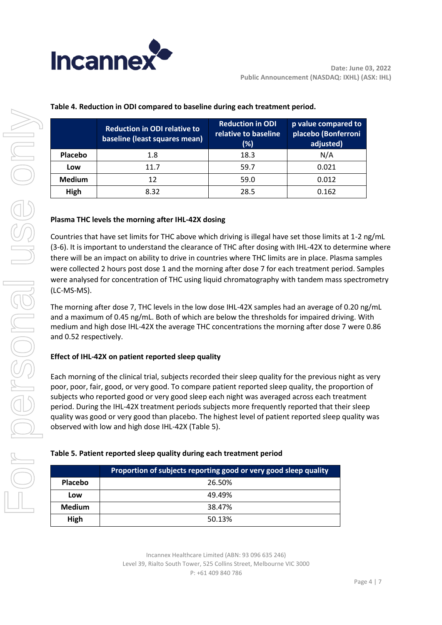

|               | <b>Reduction in ODI relative to</b><br>baseline (least squares mean) | <b>Reduction in ODI</b><br>relative to baseline<br>(%) | p value compared to<br>placebo (Bonferroni<br>adjusted) |
|---------------|----------------------------------------------------------------------|--------------------------------------------------------|---------------------------------------------------------|
| Placebo       | 1.8                                                                  | 18.3                                                   | N/A                                                     |
| Low           | 11.7                                                                 | 59.7                                                   | 0.021                                                   |
| <b>Medium</b> | 12                                                                   | 59.0                                                   | 0.012                                                   |
| High          | 8.32                                                                 | 28.5                                                   | 0.162                                                   |

## **Table 4. Reduction in ODI compared to baseline during each treatment period.**

## **Plasma THC levels the morning after IHL-42X dosing**

Countries that have set limits for THC above which driving is illegal have set those limits at 1-2 ng/mL (3-6). It is important to understand the clearance of THC after dosing with IHL-42X to determine where there will be an impact on ability to drive in countries where THC limits are in place. Plasma samples were collected 2 hours post dose 1 and the morning after dose 7 for each treatment period. Samples were analysed for concentration of THC using liquid chromatography with tandem mass spectrometry (LC-MS-MS).

The morning after dose 7, THC levels in the low dose IHL-42X samples had an average of 0.20 ng/mL and a maximum of 0.45 ng/mL. Both of which are below the thresholds for impaired driving. With medium and high dose IHL-42X the average THC concentrations the morning after dose 7 were 0.86 and 0.52 respectively.

## **Effect of IHL-42X on patient reported sleep quality**

Each morning of the clinical trial, subjects recorded their sleep quality for the previous night as very poor, poor, fair, good, or very good. To compare patient reported sleep quality, the proportion of subjects who reported good or very good sleep each night was averaged across each treatment period. During the IHL-42X treatment periods subjects more frequently reported that their sleep quality was good or very good than placebo. The highest level of patient reported sleep quality was observed with low and high dose IHL-42X (Table 5).

## **Table 5. Patient reported sleep quality during each treatment period**

|                | Proportion of subjects reporting good or very good sleep quality |
|----------------|------------------------------------------------------------------|
| <b>Placebo</b> | 26.50%                                                           |
| Low            | 49.49%                                                           |
| <b>Medium</b>  | 38.47%                                                           |
| High           | 50.13%                                                           |

Incannex Healthcare Limited (ABN: 93 096 635 246) Level 39, Rialto South Tower, 525 Collins Street, Melbourne VIC 3000 P: +61 409 840 786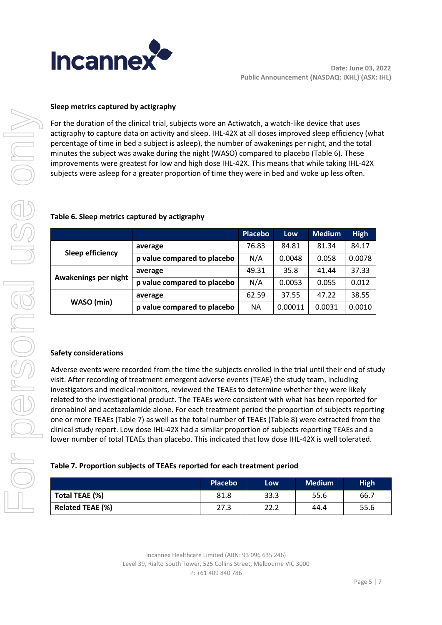

## **Sleep metrics captured by actigraphy**

For the duration of the clinical trial, subjects wore an Actiwatch, a watch-like device that uses actigraphy to capture data on activity and sleep. IHL-42X at all doses improved sleep efficiency (what percentage of time in bed a subject is asleep), the number of awakenings per night, and the total minutes the subject was awake during the night (WASO) compared to placebo (Table 6). These improvements were greatest for low and high dose IHL-42X. This means that while taking IHL-42X subjects were asleep for a greater proportion of time they were in bed and woke up less often.

|                      |                             | <b>Placebo</b> | Low     | <b>Medium</b> | <b>High</b> |
|----------------------|-----------------------------|----------------|---------|---------------|-------------|
|                      | average                     | 76.83          | 84.81   | 81.34         | 84.17       |
| Sleep efficiency     | p value compared to placebo | N/A            | 0.0048  | 0.058         | 0.0078      |
| Awakenings per night | average                     | 49.31          | 35.8    | 41.44         | 37.33       |
|                      | p value compared to placebo | N/A            | 0.0053  | 0.055         | 0.012       |
|                      | average                     | 62.59          | 37.55   | 47.22         | 38.55       |
| WASO (min)           | p value compared to placebo | <b>NA</b>      | 0.00011 | 0.0031        | 0.0010      |

#### **Table 6. Sleep metrics captured by actigraphy**

#### **Safety considerations**

Adverse events were recorded from the time the subjects enrolled in the trial until their end of study visit. After recording of treatment emergent adverse events (TEAE) the study team, including investigators and medical monitors, reviewed the TEAEs to determine whether they were likely related to the investigational product. The TEAEs were consistent with what has been reported for dronabinol and acetazolamide alone. For each treatment period the proportion of subjects reporting one or more TEAEs (Table 7) as well as the total number of TEAEs (Table 8) were extracted from the clinical study report. Low dose IHL-42X had a similar proportion of subjects reporting TEAEs and a lower number of total TEAEs than placebo. This indicated that low dose IHL-42X is well tolerated.

#### **Table 7. Proportion subjects of TEAEs reported for each treatment period**

|                         | <b>Placebo</b> | Low  | <b>Medium</b> | <b>High</b> |
|-------------------------|----------------|------|---------------|-------------|
| Total TEAE (%)          | 81.8           | 33.3 | 55.6          | 66.7        |
| <b>Related TEAE (%)</b> | 27.3           | 22.2 | 44.4          | 55.6        |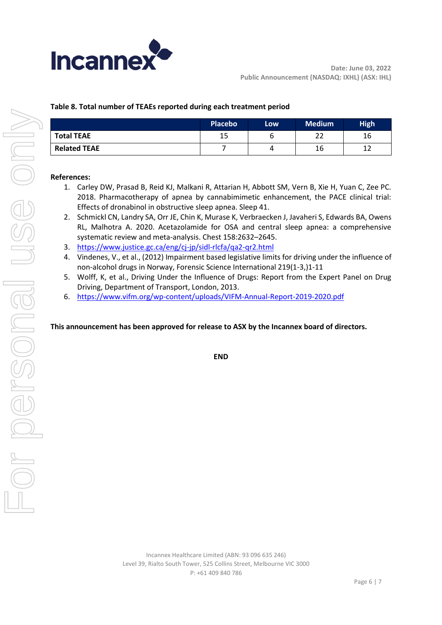

# **Table 8. Total number of TEAEs reported during each treatment period**

|                     | <b>Placebo</b> | Low | <b>Medium</b> | <b>High</b> |
|---------------------|----------------|-----|---------------|-------------|
| <b>Total TEAE</b>   | 15             |     | ີ             | 16          |
| <b>Related TEAE</b> |                | 4   | 16            | 12          |

## **References:**

- 1. Carley DW, Prasad B, Reid KJ, Malkani R, Attarian H, Abbott SM, Vern B, Xie H, Yuan C, Zee PC. 2018. Pharmacotherapy of apnea by cannabimimetic enhancement, the PACE clinical trial: Effects of dronabinol in obstructive sleep apnea. Sleep 41.
- 2. Schmickl CN, Landry SA, Orr JE, Chin K, Murase K, Verbraecken J, Javaheri S, Edwards BA, Owens RL, Malhotra A. 2020. Acetazolamide for OSA and central sleep apnea: a comprehensive systematic review and meta-analysis. Chest 158:2632–2645.
- 3. <https://www.justice.gc.ca/eng/cj-jp/sidl-rlcfa/qa2-qr2.html>
- 4. Vindenes, V., et al., (2012) Impairment based legislative limits for driving under the influence of non-alcohol drugs in Norway, Forensic Science International 219(1-3,)1-11
- 5. Wolff, K, et al., Driving Under the Influence of Drugs: Report from the Expert Panel on Drug Driving, Department of Transport, London, 2013.
- 6. <https://www.vifm.org/wp-content/uploads/VIFM-Annual-Report-2019-2020.pdf>

#### **This announcement has been approved for release to ASX by the Incannex board of directors.**

**END**